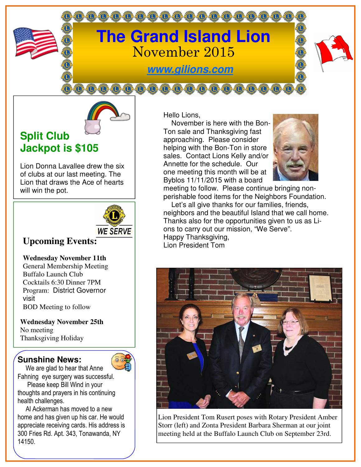



## **Split Club Jackpot is \$105**

Lion Donna Lavallee drew the six of clubs at our last meeting. The Lion that draws the Ace of hearts will win the pot.



## **Upcoming Events:**

**Wednesday November 11th** 

General Membership Meeting Buffalo Launch Club Cocktails 6:30 Dinner 7PM Program: District Governor visit BOD Meeting to follow

**Wednesday November 25th**  No meeting Thanksgiving Holiday

## **Sunshine News:**



 We are glad to hear that Anne Fahning eye surgery was successful. Please keep Bill Wind in your thoughts and prayers in his continuing health challenges.

 Al Ackerman has moved to a new home and has given up his car. He would appreciate receiving cards. His address is 300 Fries Rd. Apt. 343, Tonawanda, NY 14150.

Hello Lions,

0000000000000000000

 November is here with the Bon-Ton sale and Thanksgiving fast approaching. Please consider helping with the Bon-Ton in store sales. Contact Lions Kelly and/or Annette for the schedule. Our one meeting this month will be at Byblos 11/11/2015 with a board



meeting to follow. Please continue bringing nonperishable food items for the Neighbors Foundation. Let's all give thanks for our families, friends, neighbors and the beautiful Island that we call home. Thanks also for the opportunities given to us as Lions to carry out our mission, "We Serve". Happy Thanksgiving, Lion President Tom



Lion President Tom Rusert poses with Rotary President Amber Storr (left) and Zonta President Barbara Sherman at our joint meeting held at the Buffalo Launch Club on September 23rd.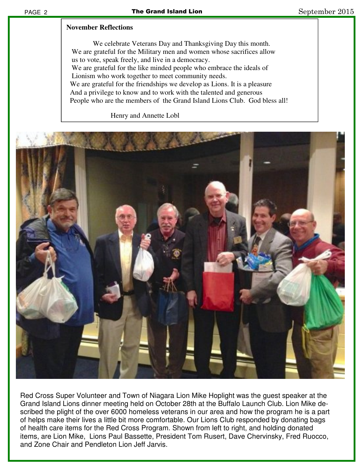## **November Reflections**

 We celebrate Veterans Day and Thanksgiving Day this month. We are grateful for the Military men and women whose sacrifices allow us to vote, speak freely, and live in a democracy. We are grateful for the like minded people who embrace the ideals of Lionism who work together to meet community needs. We are grateful for the friendships we develop as Lions. It is a pleasure And a privilege to know and to work with the talented and generous People who are the members of the Grand Island Lions Club. God bless all!

Henry and Annette Lobl



Red Cross Super Volunteer and Town of Niagara Lion Mike Hoplight was the guest speaker at the Grand Island Lions dinner meeting held on October 28th at the Buffalo Launch Club. Lion Mike described the plight of the over 6000 homeless veterans in our area and how the program he is a part of helps make their lives a little bit more comfortable. Our Lions Club responded by donating bags of health care items for the Red Cross Program. Shown from left to right, and holding donated items, are Lion Mike, Lions Paul Bassette, President Tom Rusert, Dave Chervinsky, Fred Ruocco, and Zone Chair and Pendleton Lion Jeff Jarvis.